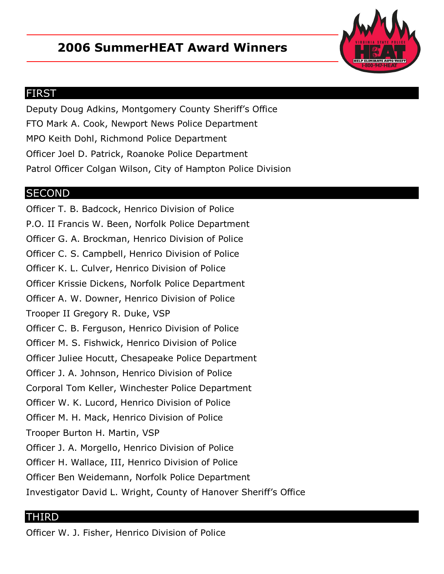## **2006 SummerHEAT Award Winners**



## FIRST

Deputy Doug Adkins, Montgomery County Sheriff's Office FTO Mark A. Cook, Newport News Police Department MPO Keith Dohl, Richmond Police Department Officer Joel D. Patrick, Roanoke Police Department Patrol Officer Colgan Wilson, City of Hampton Police Division

## **SECOND**

Officer T. B. Badcock, Henrico Division of Police P.O. II Francis W. Been, Norfolk Police Department Officer G. A. Brockman, Henrico Division of Police Officer C. S. Campbell, Henrico Division of Police Officer K. L. Culver, Henrico Division of Police Officer Krissie Dickens, Norfolk Police Department Officer A. W. Downer, Henrico Division of Police Trooper II Gregory R. Duke, VSP Officer C. B. Ferguson, Henrico Division of Police Officer M. S. Fishwick, Henrico Division of Police Officer Juliee Hocutt, Chesapeake Police Department Officer J. A. Johnson, Henrico Division of Police Corporal Tom Keller, Winchester Police Department Officer W. K. Lucord, Henrico Division of Police Officer M. H. Mack, Henrico Division of Police Trooper Burton H. Martin, VSP Officer J. A. Morgello, Henrico Division of Police Officer H. Wallace, III, Henrico Division of Police Officer Ben Weidemann, Norfolk Police Department Investigator David L. Wright, County of Hanover Sheriff's Office

## THIRD

Officer W. J. Fisher, Henrico Division of Police